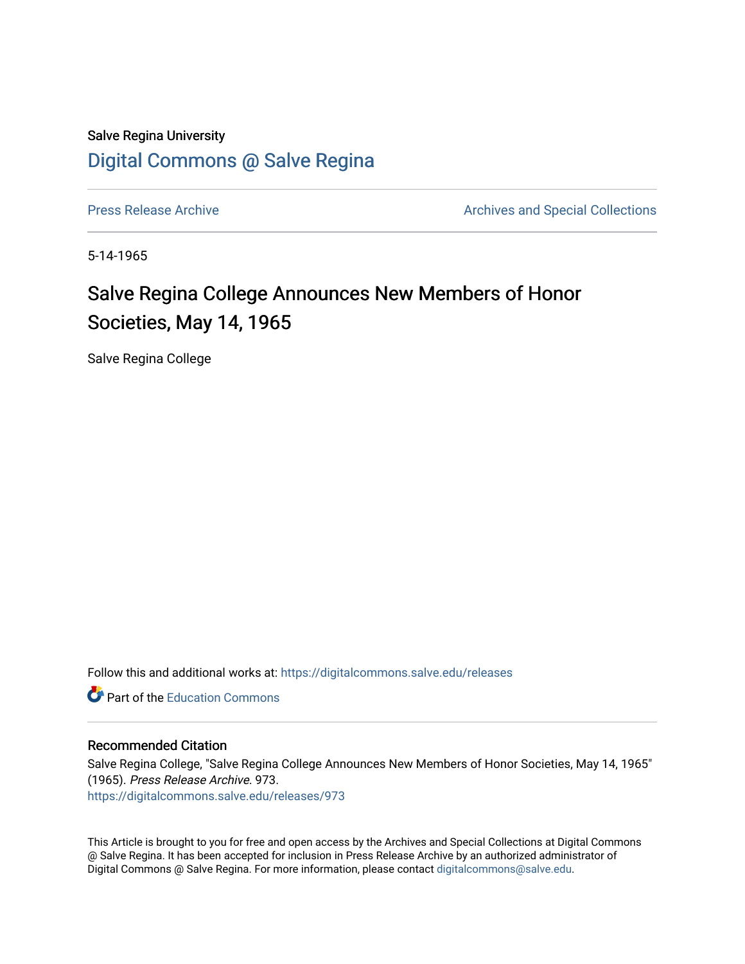Salve Regina University [Digital Commons @ Salve Regina](https://digitalcommons.salve.edu/) 

[Press Release Archive](https://digitalcommons.salve.edu/releases) **Archives** Archives and Special Collections

5-14-1965

## Salve Regina College Announces New Members of Honor Societies, May 14, 1965

Salve Regina College

Follow this and additional works at: [https://digitalcommons.salve.edu/releases](https://digitalcommons.salve.edu/releases?utm_source=digitalcommons.salve.edu%2Freleases%2F973&utm_medium=PDF&utm_campaign=PDFCoverPages) 

**C** Part of the [Education Commons](http://network.bepress.com/hgg/discipline/784?utm_source=digitalcommons.salve.edu%2Freleases%2F973&utm_medium=PDF&utm_campaign=PDFCoverPages)

## Recommended Citation

Salve Regina College, "Salve Regina College Announces New Members of Honor Societies, May 14, 1965" (1965). Press Release Archive. 973. [https://digitalcommons.salve.edu/releases/973](https://digitalcommons.salve.edu/releases/973?utm_source=digitalcommons.salve.edu%2Freleases%2F973&utm_medium=PDF&utm_campaign=PDFCoverPages) 

This Article is brought to you for free and open access by the Archives and Special Collections at Digital Commons @ Salve Regina. It has been accepted for inclusion in Press Release Archive by an authorized administrator of Digital Commons @ Salve Regina. For more information, please contact [digitalcommons@salve.edu](mailto:digitalcommons@salve.edu).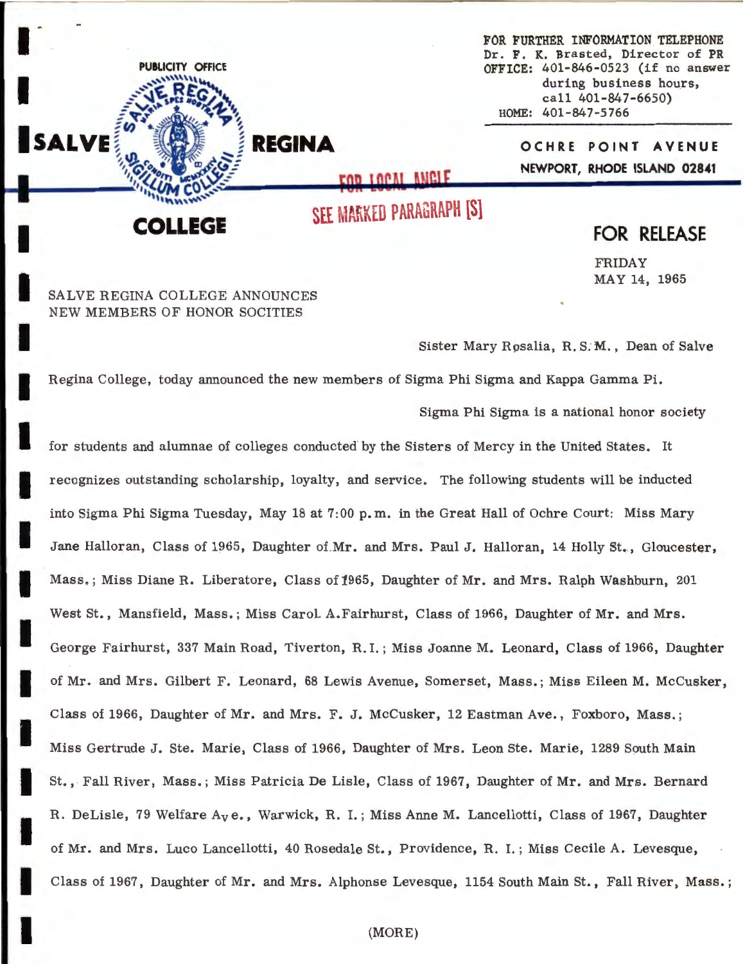FOR FURTHER INFORMATION TELEPHONE Dr. **F. K.** Brasted, Director of **PR OFFICE:** 401-846-0523 (if no answer during business hours, call 401-847-6650) HOME: 401-847-5766

> **OCHRE POINT AVENUE NEWPORT, RHODE ISLAND 02841**

.EGE

**PUBLICITY OFFICE** 

 $\mathbf{I}^{\dagger}$ 

I

SALVE

I

I

I

I

I

I

I

I

I

I

I

I

I

I

SEE MARKED PARAGRAPH [S]

EOD LOCAL ANGLE

**REGINA** 

## **FOR RELEASE**

FRIDAY MAY 14, 1965

SALVE REGINA COLLEGE ANNOUNCES NEW MEMBERS OF HONOR SOCITIES

Sister Mary Rpsalia, R. *S:M.,* Dean of Salve

Regina College, today announced the new members of Sigma Phi Sigma and Kappa Gamma Pi.

Sigma Phi Sigma is a national honor society

I for students and alumnae of colleges conducted by the Sisters of Mercy in the United States. It recognizes outstanding scholarship, loyalty, and service. The following students will be inducted into Sigma Phi Sigma Tuesday, May 18 at 7:00 p. m. in the Great Hall of Ochre Court: Miss Mary Jane Halloran, Class of 1965, Daughter of.Mr. and Mrs. Paul J. Halloran, 14 Holly St., Gloucester, Mass. ; Miss Diane R. Liberatore, Class of 1965, Daughter of Mr. and Mrs. Ralph Washburn, 201 West St., Mansfield, Mass.; Miss Carol. A.Fairhurst, Class of 1966, Daughter of Mr. and Mrs. George Fairhurst, 337 Main Road, Tiverton, R. I. ; Miss Joanne M. Leonard, Class of 1966, Daughter of Mr. and Mrs. Gilbert F. Leonard, 68 Lewis Avenue, Somerset, Mass.; Miss Eileen M. Mccusker, Class of 1966, Daughter of Mr. and Mrs. F. J. McCusker, 12 Eastman Ave., Foxboro, Mass. ; Miss Gertrude J. Ste. Marie, Class of 1966, Daughter of Mrs. Leon Ste. Marie, 1289 South Main St., Fall River, Mass. ; Miss Patricia De Lisle, Class of 1967, Daughter of Mr. and Mrs. Bernard R. DeLisle, 79 Welfare Ave., Warwick, R. I.; Miss Anne M. Lancellotti, Class of 1967, Daughter of Mr. and Mrs. Luco Lancellotti, 40 Rosedale St., Providence, R. I.; Miss Cecile A. Levesque, Class of 1967, Daughter of Mr. and Mrs. Alphonse Levesque, 1154 South Main St., Fall River, Mass.;